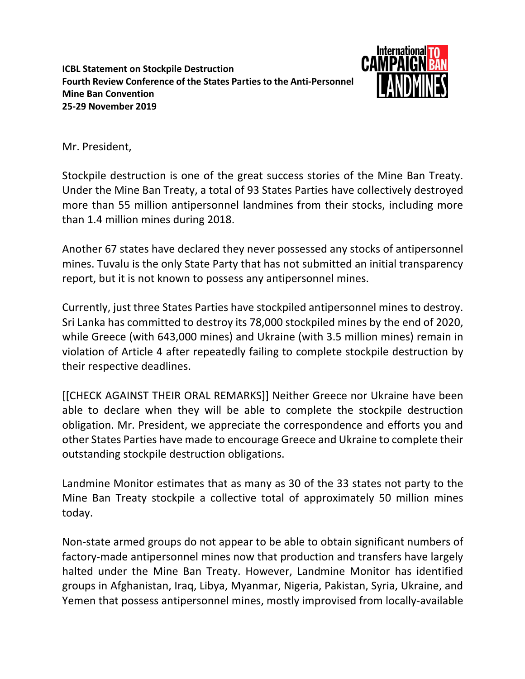**ICBL Statement on Stockpile Destruction Fourth Review Conference of the States Parties to the Anti-Personnel Mine Ban Convention 25-29 November 2019**



Mr. President,

Stockpile destruction is one of the great success stories of the Mine Ban Treaty. Under the Mine Ban Treaty, a total of 93 States Parties have collectively destroyed more than 55 million antipersonnel landmines from their stocks, including more than 1.4 million mines during 2018.

Another 67 states have declared they never possessed any stocks of antipersonnel mines. Tuvalu is the only State Party that has not submitted an initial transparency report, but it is not known to possess any antipersonnel mines.

Currently, just three States Parties have stockpiled antipersonnel mines to destroy. Sri Lanka has committed to destroy its 78,000 stockpiled mines by the end of 2020, while Greece (with 643,000 mines) and Ukraine (with 3.5 million mines) remain in violation of Article 4 after repeatedly failing to complete stockpile destruction by their respective deadlines.

[[CHECK AGAINST THEIR ORAL REMARKS]] Neither Greece nor Ukraine have been able to declare when they will be able to complete the stockpile destruction obligation. Mr. President, we appreciate the correspondence and efforts you and other States Parties have made to encourage Greece and Ukraine to complete their outstanding stockpile destruction obligations.

Landmine Monitor estimates that as many as 30 of the 33 states not party to the Mine Ban Treaty stockpile a collective total of approximately 50 million mines today.

Non-state armed groups do not appear to be able to obtain significant numbers of factory-made antipersonnel mines now that production and transfers have largely halted under the Mine Ban Treaty. However, Landmine Monitor has identified groups in Afghanistan, Iraq, Libya, Myanmar, Nigeria, Pakistan, Syria, Ukraine, and Yemen that possess antipersonnel mines, mostly improvised from locally-available